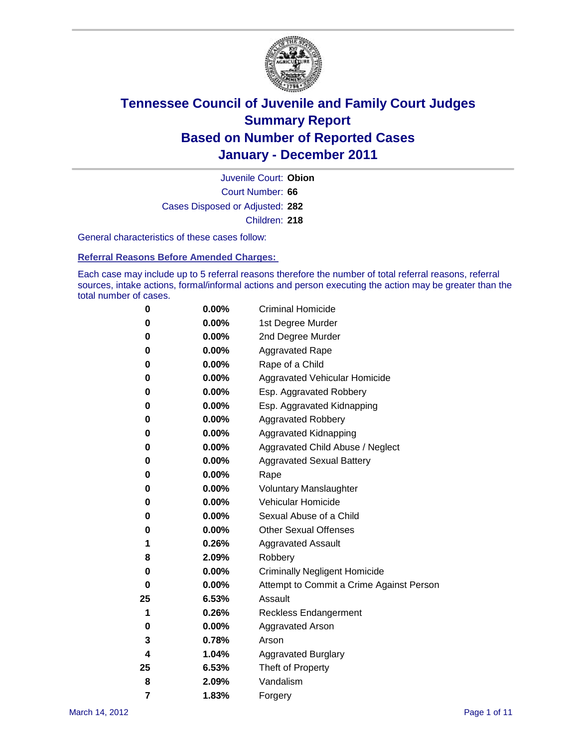

Court Number: **66** Juvenile Court: **Obion** Cases Disposed or Adjusted: **282** Children: **218**

General characteristics of these cases follow:

**Referral Reasons Before Amended Charges:** 

Each case may include up to 5 referral reasons therefore the number of total referral reasons, referral sources, intake actions, formal/informal actions and person executing the action may be greater than the total number of cases.

| 0  | 0.00%    | <b>Criminal Homicide</b>                 |
|----|----------|------------------------------------------|
| 0  | 0.00%    | 1st Degree Murder                        |
| 0  | 0.00%    | 2nd Degree Murder                        |
| 0  | 0.00%    | <b>Aggravated Rape</b>                   |
| 0  | 0.00%    | Rape of a Child                          |
| 0  | 0.00%    | Aggravated Vehicular Homicide            |
| 0  | 0.00%    | Esp. Aggravated Robbery                  |
| 0  | 0.00%    | Esp. Aggravated Kidnapping               |
| 0  | 0.00%    | <b>Aggravated Robbery</b>                |
| 0  | 0.00%    | Aggravated Kidnapping                    |
| 0  | 0.00%    | Aggravated Child Abuse / Neglect         |
| 0  | $0.00\%$ | <b>Aggravated Sexual Battery</b>         |
| 0  | 0.00%    | Rape                                     |
| 0  | $0.00\%$ | <b>Voluntary Manslaughter</b>            |
| 0  | 0.00%    | Vehicular Homicide                       |
| 0  | 0.00%    | Sexual Abuse of a Child                  |
| 0  | 0.00%    | <b>Other Sexual Offenses</b>             |
| 1  | 0.26%    | <b>Aggravated Assault</b>                |
| 8  | 2.09%    | Robbery                                  |
| 0  | 0.00%    | <b>Criminally Negligent Homicide</b>     |
| 0  | 0.00%    | Attempt to Commit a Crime Against Person |
| 25 | 6.53%    | Assault                                  |
| 1  | 0.26%    | <b>Reckless Endangerment</b>             |
| 0  | 0.00%    | <b>Aggravated Arson</b>                  |
| 3  | 0.78%    | Arson                                    |
| 4  | 1.04%    | <b>Aggravated Burglary</b>               |
| 25 | 6.53%    | Theft of Property                        |
| 8  | 2.09%    | Vandalism                                |
| 7  | 1.83%    | Forgery                                  |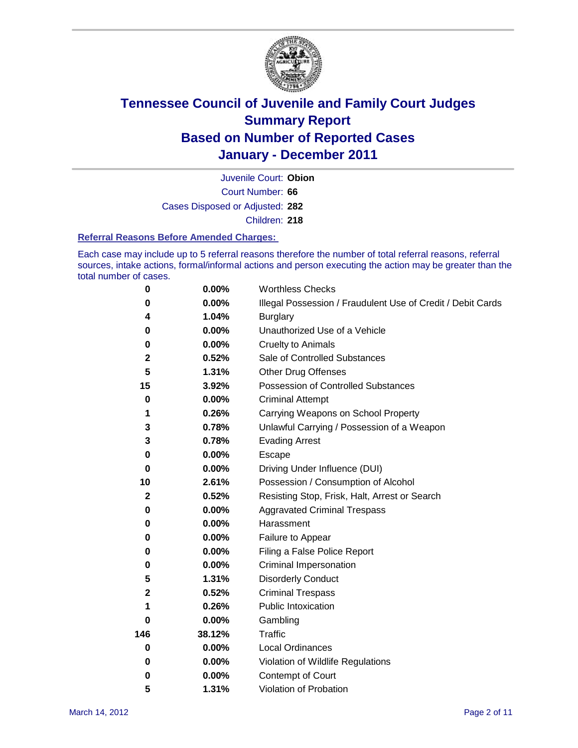

Court Number: **66** Juvenile Court: **Obion** Cases Disposed or Adjusted: **282** Children: **218**

#### **Referral Reasons Before Amended Charges:**

Each case may include up to 5 referral reasons therefore the number of total referral reasons, referral sources, intake actions, formal/informal actions and person executing the action may be greater than the total number of cases.

| $\pmb{0}$   | 0.00%    | <b>Worthless Checks</b>                                     |
|-------------|----------|-------------------------------------------------------------|
| 0           | 0.00%    | Illegal Possession / Fraudulent Use of Credit / Debit Cards |
| 4           | 1.04%    | <b>Burglary</b>                                             |
| 0           | $0.00\%$ | Unauthorized Use of a Vehicle                               |
| 0           | $0.00\%$ | <b>Cruelty to Animals</b>                                   |
| 2           | 0.52%    | Sale of Controlled Substances                               |
| 5           | 1.31%    | <b>Other Drug Offenses</b>                                  |
| 15          | 3.92%    | Possession of Controlled Substances                         |
| 0           | $0.00\%$ | <b>Criminal Attempt</b>                                     |
| 1           | 0.26%    | Carrying Weapons on School Property                         |
| 3           | 0.78%    | Unlawful Carrying / Possession of a Weapon                  |
| 3           | 0.78%    | <b>Evading Arrest</b>                                       |
| 0           | 0.00%    | Escape                                                      |
| 0           | $0.00\%$ | Driving Under Influence (DUI)                               |
| 10          | 2.61%    | Possession / Consumption of Alcohol                         |
| $\mathbf 2$ | 0.52%    | Resisting Stop, Frisk, Halt, Arrest or Search               |
| 0           | $0.00\%$ | <b>Aggravated Criminal Trespass</b>                         |
| 0           | $0.00\%$ | Harassment                                                  |
| 0           | 0.00%    | Failure to Appear                                           |
| 0           | $0.00\%$ | Filing a False Police Report                                |
| 0           | 0.00%    | Criminal Impersonation                                      |
| 5           | 1.31%    | <b>Disorderly Conduct</b>                                   |
| 2           | 0.52%    | <b>Criminal Trespass</b>                                    |
| 1           | 0.26%    | <b>Public Intoxication</b>                                  |
| 0           | $0.00\%$ | Gambling                                                    |
| 146         | 38.12%   | <b>Traffic</b>                                              |
| 0           | $0.00\%$ | <b>Local Ordinances</b>                                     |
| 0           | $0.00\%$ | Violation of Wildlife Regulations                           |
| 0           | $0.00\%$ | Contempt of Court                                           |
| 5           | 1.31%    | Violation of Probation                                      |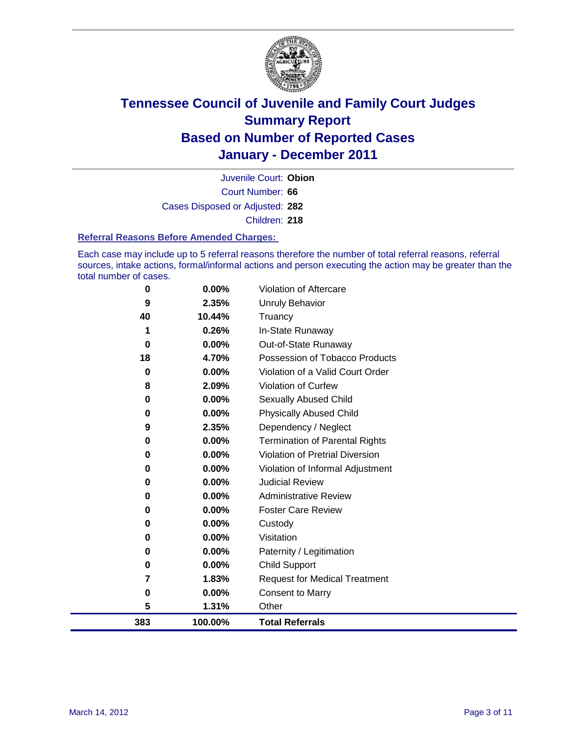

Court Number: **66** Juvenile Court: **Obion** Cases Disposed or Adjusted: **282** Children: **218**

#### **Referral Reasons Before Amended Charges:**

Each case may include up to 5 referral reasons therefore the number of total referral reasons, referral sources, intake actions, formal/informal actions and person executing the action may be greater than the total number of cases.

| 383      | 100.00%  | <b>Total Referrals</b>                 |
|----------|----------|----------------------------------------|
| 5        | 1.31%    | Other                                  |
| 0        | 0.00%    | <b>Consent to Marry</b>                |
| 7        | 1.83%    | <b>Request for Medical Treatment</b>   |
| 0        | 0.00%    | <b>Child Support</b>                   |
| 0        | 0.00%    | Paternity / Legitimation               |
| 0        | 0.00%    | Visitation                             |
| 0        | 0.00%    | Custody                                |
| 0        | 0.00%    | <b>Foster Care Review</b>              |
| 0        | 0.00%    | <b>Administrative Review</b>           |
| 0        | 0.00%    | <b>Judicial Review</b>                 |
| 0        | 0.00%    | Violation of Informal Adjustment       |
| 0        | 0.00%    | <b>Violation of Pretrial Diversion</b> |
| 0        | 0.00%    | Termination of Parental Rights         |
| 9        | 2.35%    | Dependency / Neglect                   |
| 0        | 0.00%    | <b>Physically Abused Child</b>         |
| 0        | 0.00%    | Sexually Abused Child                  |
| 8        | 2.09%    | Violation of Curfew                    |
| $\bf{0}$ | 0.00%    | Violation of a Valid Court Order       |
| 18       | 4.70%    | Possession of Tobacco Products         |
| $\bf{0}$ | 0.00%    | Out-of-State Runaway                   |
|          | 0.26%    | In-State Runaway                       |
| 40       | 10.44%   | Truancy                                |
| 9        | 2.35%    | <b>Unruly Behavior</b>                 |
| 0        | $0.00\%$ | Violation of Aftercare                 |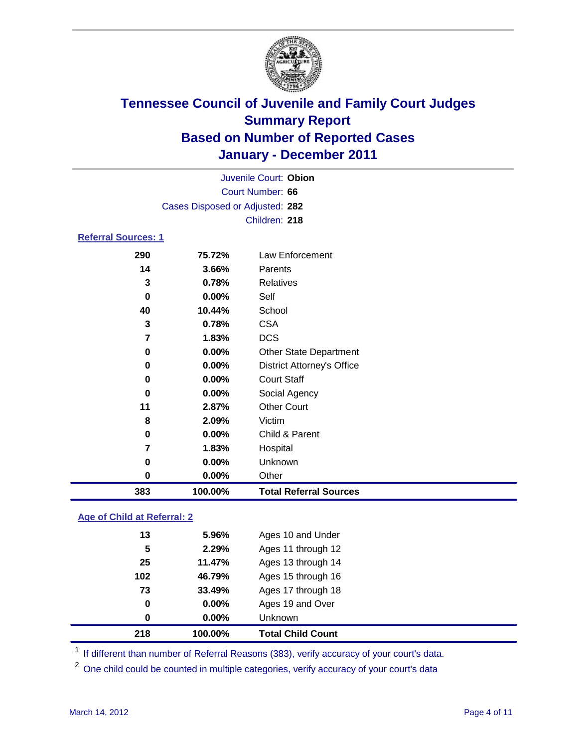

|                            |                                 | Juvenile Court: Obion             |  |
|----------------------------|---------------------------------|-----------------------------------|--|
| Court Number: 66           |                                 |                                   |  |
|                            | Cases Disposed or Adjusted: 282 |                                   |  |
|                            |                                 | Children: 218                     |  |
| <b>Referral Sources: 1</b> |                                 |                                   |  |
| 290                        | 75.72%                          | <b>Law Enforcement</b>            |  |
| 14                         | 3.66%                           | Parents                           |  |
| 3                          | 0.78%                           | <b>Relatives</b>                  |  |
| 0                          | 0.00%                           | Self                              |  |
| 40                         | 10.44%                          | School                            |  |
| 3                          | 0.78%                           | <b>CSA</b>                        |  |
| $\overline{7}$             | 1.83%                           | <b>DCS</b>                        |  |
| 0                          | 0.00%                           | <b>Other State Department</b>     |  |
| 0                          | 0.00%                           | <b>District Attorney's Office</b> |  |
| 0                          | 0.00%                           | <b>Court Staff</b>                |  |
| $\bf{0}$                   | 0.00%                           | Social Agency                     |  |
| 11                         | 2.87%                           | <b>Other Court</b>                |  |
| 8                          | 2.09%                           | Victim                            |  |
| 0                          | 0.00%                           | Child & Parent                    |  |
| 7                          | 1.83%                           | Hospital                          |  |
| 0                          | 0.00%                           | Unknown                           |  |
| $\bf{0}$                   | 0.00%                           | Other                             |  |
| 383                        | 100.00%                         | <b>Total Referral Sources</b>     |  |
|                            |                                 |                                   |  |

### **Age of Child at Referral: 2**

| 218 | 100.00%  | <b>Total Child Count</b> |
|-----|----------|--------------------------|
| 0   | $0.00\%$ | <b>Unknown</b>           |
| 0   | 0.00%    | Ages 19 and Over         |
| 73  | 33.49%   | Ages 17 through 18       |
| 102 | 46.79%   | Ages 15 through 16       |
| 25  | 11.47%   | Ages 13 through 14       |
| 5   | 2.29%    | Ages 11 through 12       |
| 13  | 5.96%    | Ages 10 and Under        |
|     |          |                          |

<sup>1</sup> If different than number of Referral Reasons (383), verify accuracy of your court's data.

<sup>2</sup> One child could be counted in multiple categories, verify accuracy of your court's data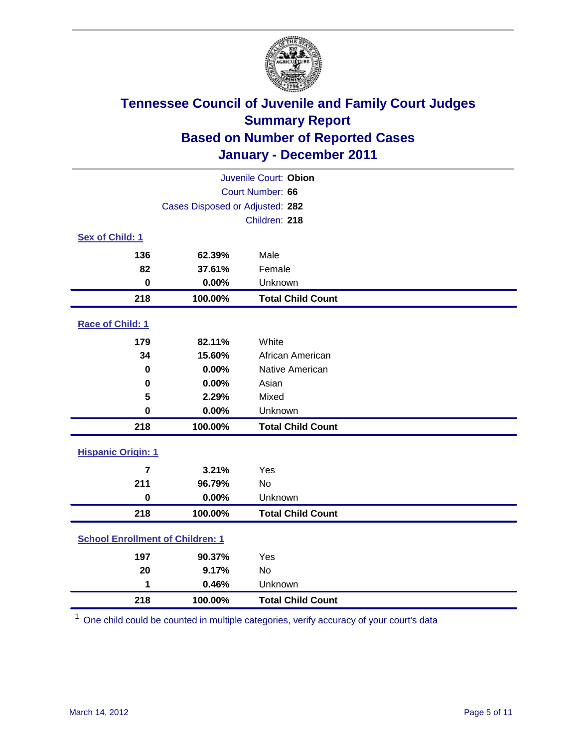

|                                         | Juvenile Court: Obion           |                          |  |  |
|-----------------------------------------|---------------------------------|--------------------------|--|--|
| Court Number: 66                        |                                 |                          |  |  |
|                                         | Cases Disposed or Adjusted: 282 |                          |  |  |
|                                         |                                 | Children: 218            |  |  |
| Sex of Child: 1                         |                                 |                          |  |  |
| 136                                     | 62.39%                          | Male                     |  |  |
| 82                                      | 37.61%                          | Female                   |  |  |
| $\mathbf 0$                             | 0.00%                           | Unknown                  |  |  |
| 218                                     | 100.00%                         | <b>Total Child Count</b> |  |  |
| Race of Child: 1                        |                                 |                          |  |  |
| 179                                     | 82.11%                          | White                    |  |  |
| 34                                      | 15.60%                          | African American         |  |  |
| 0                                       | 0.00%                           | Native American          |  |  |
| $\mathbf 0$                             | 0.00%                           | Asian                    |  |  |
| 5                                       | 2.29%                           | Mixed                    |  |  |
| $\mathbf 0$                             | 0.00%                           | Unknown                  |  |  |
| 218                                     | 100.00%                         | <b>Total Child Count</b> |  |  |
| <b>Hispanic Origin: 1</b>               |                                 |                          |  |  |
| $\overline{7}$                          | 3.21%                           | Yes                      |  |  |
| 211                                     | 96.79%                          | No                       |  |  |
| $\mathbf 0$                             | 0.00%                           | Unknown                  |  |  |
| 218                                     | 100.00%                         | <b>Total Child Count</b> |  |  |
| <b>School Enrollment of Children: 1</b> |                                 |                          |  |  |
| 197                                     | 90.37%                          | Yes                      |  |  |
| 20                                      | 9.17%                           | No                       |  |  |
| 1                                       | 0.46%                           | Unknown                  |  |  |
| 218                                     | 100.00%                         | <b>Total Child Count</b> |  |  |

One child could be counted in multiple categories, verify accuracy of your court's data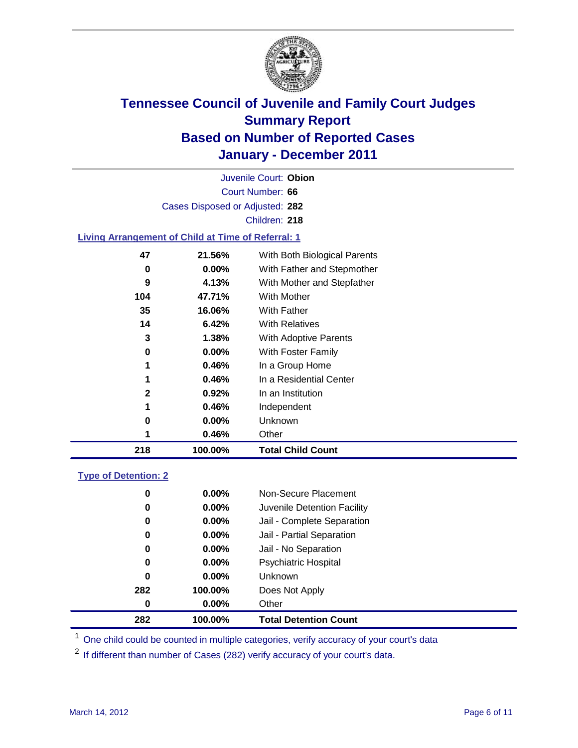

Court Number: **66** Juvenile Court: **Obion** Cases Disposed or Adjusted: **282** Children: **218**

#### **Living Arrangement of Child at Time of Referral: 1**

| 218 | 100.00%  | <b>Total Child Count</b>     |
|-----|----------|------------------------------|
| 1   | 0.46%    | Other                        |
| 0   | $0.00\%$ | <b>Unknown</b>               |
| 1   | 0.46%    | Independent                  |
| 2   | 0.92%    | In an Institution            |
| 1   | 0.46%    | In a Residential Center      |
| 1   | 0.46%    | In a Group Home              |
| 0   | $0.00\%$ | With Foster Family           |
| 3   | 1.38%    | With Adoptive Parents        |
| 14  | 6.42%    | <b>With Relatives</b>        |
| 35  | 16.06%   | With Father                  |
| 104 | 47.71%   | With Mother                  |
| 9   | 4.13%    | With Mother and Stepfather   |
| 0   | $0.00\%$ | With Father and Stepmother   |
| 47  | 21.56%   | With Both Biological Parents |
|     |          |                              |

#### **Type of Detention: 2**

| 282 | 100.00%  | <b>Total Detention Count</b> |  |
|-----|----------|------------------------------|--|
| 0   | $0.00\%$ | Other                        |  |
| 282 | 100.00%  | Does Not Apply               |  |
| 0   | $0.00\%$ | Unknown                      |  |
| 0   | $0.00\%$ | <b>Psychiatric Hospital</b>  |  |
| 0   | 0.00%    | Jail - No Separation         |  |
| 0   | $0.00\%$ | Jail - Partial Separation    |  |
| 0   | $0.00\%$ | Jail - Complete Separation   |  |
| 0   | 0.00%    | Juvenile Detention Facility  |  |
| 0   | $0.00\%$ | Non-Secure Placement         |  |
|     |          |                              |  |

<sup>1</sup> One child could be counted in multiple categories, verify accuracy of your court's data

<sup>2</sup> If different than number of Cases (282) verify accuracy of your court's data.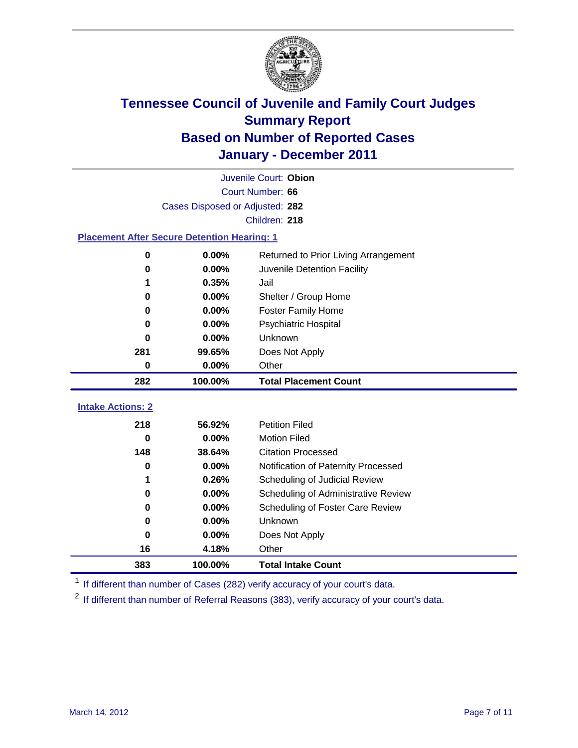

|                                                    | Juvenile Court: Obion           |                                      |  |  |  |
|----------------------------------------------------|---------------------------------|--------------------------------------|--|--|--|
|                                                    | Court Number: 66                |                                      |  |  |  |
|                                                    | Cases Disposed or Adjusted: 282 |                                      |  |  |  |
|                                                    |                                 | Children: 218                        |  |  |  |
| <b>Placement After Secure Detention Hearing: 1</b> |                                 |                                      |  |  |  |
| 0                                                  | 0.00%                           | Returned to Prior Living Arrangement |  |  |  |
| 0                                                  | 0.00%                           | Juvenile Detention Facility          |  |  |  |
| 1                                                  | 0.35%                           | Jail                                 |  |  |  |
| 0                                                  | 0.00%                           | Shelter / Group Home                 |  |  |  |
| 0                                                  | 0.00%                           | <b>Foster Family Home</b>            |  |  |  |
| 0                                                  | 0.00%                           | Psychiatric Hospital                 |  |  |  |
| 0                                                  | 0.00%                           | Unknown                              |  |  |  |
| 281                                                | 99.65%                          | Does Not Apply                       |  |  |  |
| 0                                                  | 0.00%                           | Other                                |  |  |  |
| 282                                                | 100.00%                         | <b>Total Placement Count</b>         |  |  |  |
|                                                    |                                 |                                      |  |  |  |
| <b>Intake Actions: 2</b>                           |                                 |                                      |  |  |  |
| 218                                                | 56.92%                          | <b>Petition Filed</b>                |  |  |  |
| $\bf{0}$                                           | 0.00%                           | <b>Motion Filed</b>                  |  |  |  |
| 148                                                | 38.64%                          | <b>Citation Processed</b>            |  |  |  |
| 0                                                  | 0.00%                           | Notification of Paternity Processed  |  |  |  |
| 1                                                  | 0.26%                           | Scheduling of Judicial Review        |  |  |  |
| 0                                                  | 0.00%                           | Scheduling of Administrative Review  |  |  |  |
| 0                                                  | 0.00%                           | Scheduling of Foster Care Review     |  |  |  |
| $\bf{0}$                                           | 0.00%                           | Unknown                              |  |  |  |
| 0                                                  | 0.00%                           | Does Not Apply                       |  |  |  |
| 16                                                 | 4.18%                           | Other                                |  |  |  |
| 383                                                | 100.00%                         | <b>Total Intake Count</b>            |  |  |  |

<sup>1</sup> If different than number of Cases (282) verify accuracy of your court's data.

<sup>2</sup> If different than number of Referral Reasons (383), verify accuracy of your court's data.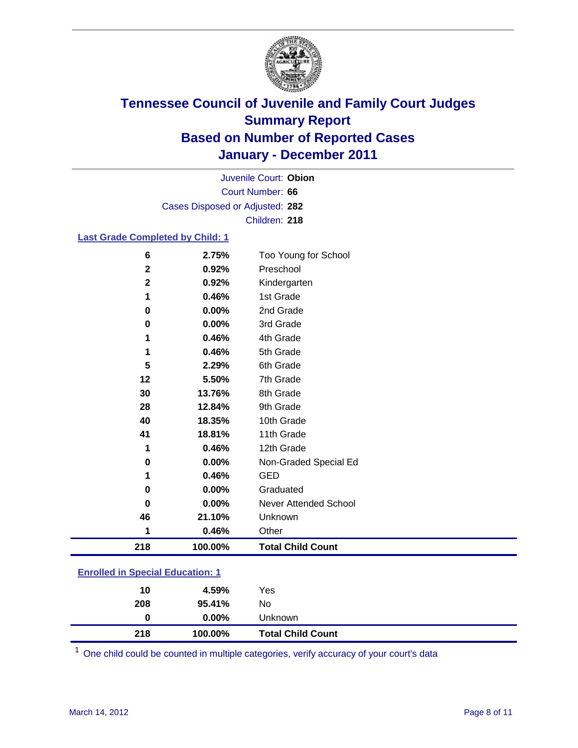

Court Number: **66** Juvenile Court: **Obion** Cases Disposed or Adjusted: **282** Children: **218**

#### **Last Grade Completed by Child: 1**

| 6            | 2.75%   | Too Young for School     |
|--------------|---------|--------------------------|
| $\mathbf 2$  | 0.92%   | Preschool                |
| $\mathbf{2}$ | 0.92%   | Kindergarten             |
| 1            | 0.46%   | 1st Grade                |
| 0            | 0.00%   | 2nd Grade                |
| 0            | 0.00%   | 3rd Grade                |
| 1            | 0.46%   | 4th Grade                |
| 1            | 0.46%   | 5th Grade                |
| 5            | 2.29%   | 6th Grade                |
| 12           | 5.50%   | 7th Grade                |
| 30           | 13.76%  | 8th Grade                |
| 28           | 12.84%  | 9th Grade                |
| 40           | 18.35%  | 10th Grade               |
| 41           | 18.81%  | 11th Grade               |
| 1            | 0.46%   | 12th Grade               |
| 0            | 0.00%   | Non-Graded Special Ed    |
| 1            | 0.46%   | <b>GED</b>               |
| 0            | 0.00%   | Graduated                |
| 0            | 0.00%   | Never Attended School    |
| 46           | 21.10%  | Unknown                  |
| 1            | 0.46%   | Other                    |
| 218          | 100.00% | <b>Total Child Count</b> |

### **Enrolled in Special Education: 1**

| 218 | 100.00%  | <b>Total Child Count</b> |  |
|-----|----------|--------------------------|--|
| 0   | $0.00\%$ | Unknown                  |  |
| 208 | 95.41%   | No                       |  |
| 10  | 4.59%    | Yes                      |  |
|     |          |                          |  |

One child could be counted in multiple categories, verify accuracy of your court's data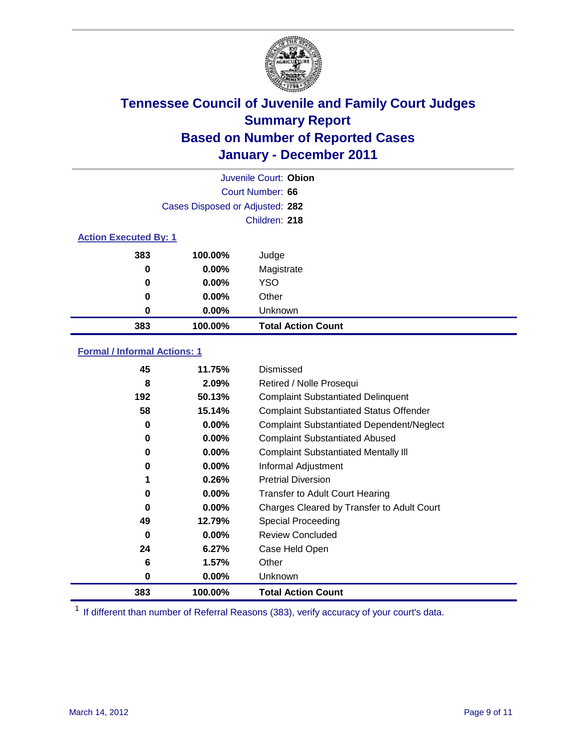

|                              | Juvenile Court: Obion           |                           |  |  |
|------------------------------|---------------------------------|---------------------------|--|--|
|                              | Court Number: 66                |                           |  |  |
|                              | Cases Disposed or Adjusted: 282 |                           |  |  |
|                              |                                 | Children: 218             |  |  |
| <b>Action Executed By: 1</b> |                                 |                           |  |  |
| 383                          | 100.00%                         | Judge                     |  |  |
| 0                            | $0.00\%$                        | Magistrate                |  |  |
| 0                            | $0.00\%$                        | <b>YSO</b>                |  |  |
| 0                            | 0.00%                           | Other                     |  |  |
| 0                            | 0.00%                           | Unknown                   |  |  |
| 383                          | 100.00%                         | <b>Total Action Count</b> |  |  |

#### **Formal / Informal Actions: 1**

| 45  | 11.75%   | Dismissed                                        |
|-----|----------|--------------------------------------------------|
| 8   | 2.09%    | Retired / Nolle Prosequi                         |
| 192 | 50.13%   | <b>Complaint Substantiated Delinquent</b>        |
| 58  | 15.14%   | <b>Complaint Substantiated Status Offender</b>   |
| 0   | 0.00%    | <b>Complaint Substantiated Dependent/Neglect</b> |
| 0   | $0.00\%$ | <b>Complaint Substantiated Abused</b>            |
| 0   | $0.00\%$ | <b>Complaint Substantiated Mentally III</b>      |
| 0   | $0.00\%$ | Informal Adjustment                              |
| 1   | 0.26%    | <b>Pretrial Diversion</b>                        |
| 0   | $0.00\%$ | <b>Transfer to Adult Court Hearing</b>           |
| 0   | 0.00%    | Charges Cleared by Transfer to Adult Court       |
| 49  | 12.79%   | <b>Special Proceeding</b>                        |
| 0   | 0.00%    | <b>Review Concluded</b>                          |
| 24  | 6.27%    | Case Held Open                                   |
| 6   | 1.57%    | Other                                            |
| 0   | $0.00\%$ | Unknown                                          |
| 383 | 100.00%  | <b>Total Action Count</b>                        |

<sup>1</sup> If different than number of Referral Reasons (383), verify accuracy of your court's data.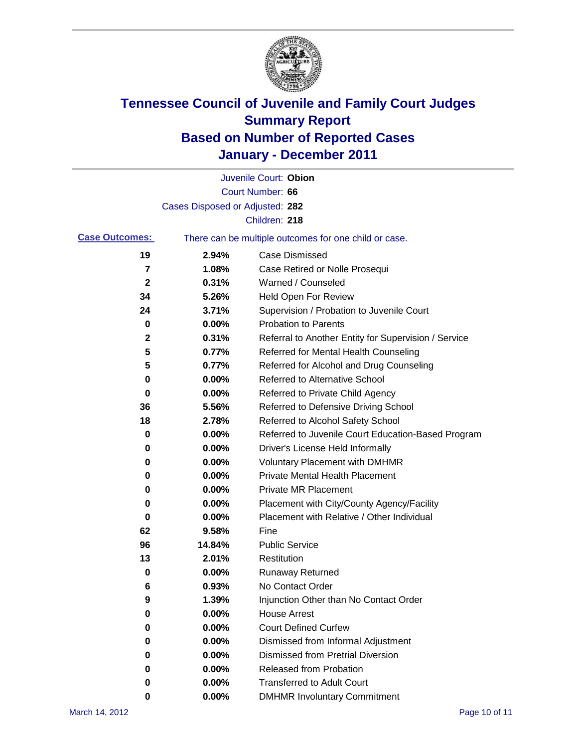

|                       |                                 | Juvenile Court: Obion                                 |
|-----------------------|---------------------------------|-------------------------------------------------------|
|                       |                                 | Court Number: 66                                      |
|                       | Cases Disposed or Adjusted: 282 |                                                       |
|                       |                                 | Children: 218                                         |
| <b>Case Outcomes:</b> |                                 | There can be multiple outcomes for one child or case. |
| 19                    | 2.94%                           | <b>Case Dismissed</b>                                 |
| 7                     | 1.08%                           | Case Retired or Nolle Prosequi                        |
| $\mathbf{2}$          | 0.31%                           | Warned / Counseled                                    |
| 34                    | 5.26%                           | <b>Held Open For Review</b>                           |
| 24                    | 3.71%                           | Supervision / Probation to Juvenile Court             |
| 0                     | 0.00%                           | <b>Probation to Parents</b>                           |
| 2                     | 0.31%                           | Referral to Another Entity for Supervision / Service  |
| 5                     | 0.77%                           | Referred for Mental Health Counseling                 |
| 5                     | 0.77%                           | Referred for Alcohol and Drug Counseling              |
| 0                     | 0.00%                           | <b>Referred to Alternative School</b>                 |
| 0                     | 0.00%                           | Referred to Private Child Agency                      |
| 36                    | 5.56%                           | Referred to Defensive Driving School                  |
| 18                    | 2.78%                           | Referred to Alcohol Safety School                     |
| 0                     | 0.00%                           | Referred to Juvenile Court Education-Based Program    |
| 0                     | 0.00%                           | Driver's License Held Informally                      |
| 0                     | 0.00%                           | <b>Voluntary Placement with DMHMR</b>                 |
| 0                     | 0.00%                           | <b>Private Mental Health Placement</b>                |
| 0                     | 0.00%                           | <b>Private MR Placement</b>                           |
| 0                     | 0.00%                           | Placement with City/County Agency/Facility            |
| 0                     | 0.00%                           | Placement with Relative / Other Individual            |
| 62                    | 9.58%                           | Fine                                                  |
| 96                    | 14.84%                          | <b>Public Service</b>                                 |
| 13                    | 2.01%                           | Restitution                                           |
| 0                     | 0.00%                           | <b>Runaway Returned</b>                               |
| 6                     | 0.93%                           | No Contact Order                                      |
| 9                     | 1.39%                           | Injunction Other than No Contact Order                |
| 0                     | 0.00%                           | <b>House Arrest</b>                                   |
| 0                     | 0.00%                           | <b>Court Defined Curfew</b>                           |
| 0                     | $0.00\%$                        | Dismissed from Informal Adjustment                    |
| 0                     | 0.00%                           | <b>Dismissed from Pretrial Diversion</b>              |
| 0                     | 0.00%                           | Released from Probation                               |
| 0                     | 0.00%                           | <b>Transferred to Adult Court</b>                     |
| 0                     | $0.00\%$                        | <b>DMHMR Involuntary Commitment</b>                   |